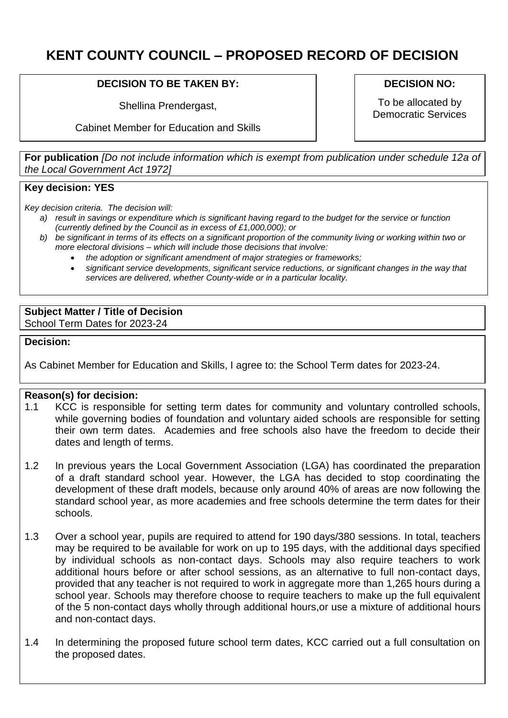# **KENT COUNTY COUNCIL – PROPOSED RECORD OF DECISION**

# **DECISION TO BE TAKEN BY:**

Shellina Prendergast,

Cabinet Member for Education and Skills

## **DECISION NO:**

To be allocated by Democratic Services

**For publication** *[Do not include information which is exempt from publication under schedule 12a of the Local Government Act 1972]*

# **Key decision: YES**

*Key decision criteria. The decision will:*

- *a) result in savings or expenditure which is significant having regard to the budget for the service or function (currently defined by the Council as in excess of £1,000,000); or*
- *b) be significant in terms of its effects on a significant proportion of the community living or working within two or more electoral divisions – which will include those decisions that involve:*
	- *the adoption or significant amendment of major strategies or frameworks;*
	- *significant service developments, significant service reductions, or significant changes in the way that services are delivered, whether County-wide or in a particular locality.*

## **Subject Matter / Title of Decision**

School Term Dates for 2023-24

### **Decision:**

As Cabinet Member for Education and Skills, I agree to: the School Term dates for 2023-24.

## **Reason(s) for decision:**

- 1.1 KCC is responsible for setting term dates for community and voluntary controlled schools, while governing bodies of foundation and voluntary aided schools are responsible for setting their own term dates. Academies and free schools also have the freedom to decide their dates and length of terms.
- 1.2 In previous years the Local Government Association (LGA) has coordinated the preparation of a draft standard school year. However, the LGA has decided to stop coordinating the development of these draft models, because only around 40% of areas are now following the standard school year, as more academies and free schools determine the term dates for their schools.
- 1.3 Over a school year, pupils are required to attend for 190 days/380 sessions. In total, teachers may be required to be available for work on up to 195 days, with the additional days specified by individual schools as non-contact days. Schools may also require teachers to work additional hours before or after school sessions, as an alternative to full non-contact days, provided that any teacher is not required to work in aggregate more than 1,265 hours during a school year. Schools may therefore choose to require teachers to make up the full equivalent of the 5 non-contact days wholly through additional hours,or use a mixture of additional hours and non-contact days.
- 1.4 In determining the proposed future school term dates, KCC carried out a full consultation on the proposed dates.